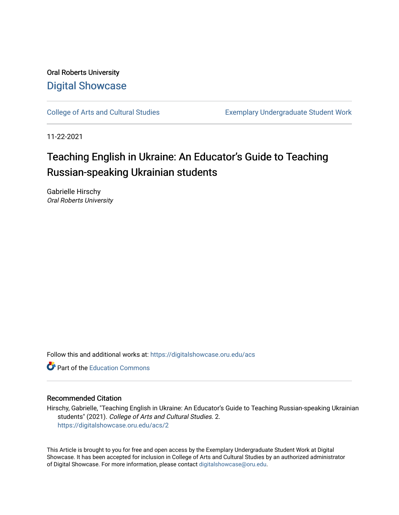# Oral Roberts University [Digital Showcase](https://digitalshowcase.oru.edu/)

[College of Arts and Cultural Studies](https://digitalshowcase.oru.edu/acs) **Exemplary Undergraduate Student Work** 

11-22-2021

# Teaching English in Ukraine: An Educator's Guide to Teaching Russian-speaking Ukrainian students

Gabrielle Hirschy Oral Roberts University

Follow this and additional works at: [https://digitalshowcase.oru.edu/acs](https://digitalshowcase.oru.edu/acs?utm_source=digitalshowcase.oru.edu%2Facs%2F2&utm_medium=PDF&utm_campaign=PDFCoverPages) 

**C** Part of the [Education Commons](https://network.bepress.com/hgg/discipline/784?utm_source=digitalshowcase.oru.edu%2Facs%2F2&utm_medium=PDF&utm_campaign=PDFCoverPages)

# Recommended Citation

Hirschy, Gabrielle, "Teaching English in Ukraine: An Educator's Guide to Teaching Russian-speaking Ukrainian students" (2021). College of Arts and Cultural Studies. 2. [https://digitalshowcase.oru.edu/acs/2](https://digitalshowcase.oru.edu/acs/2?utm_source=digitalshowcase.oru.edu%2Facs%2F2&utm_medium=PDF&utm_campaign=PDFCoverPages) 

This Article is brought to you for free and open access by the Exemplary Undergraduate Student Work at Digital Showcase. It has been accepted for inclusion in College of Arts and Cultural Studies by an authorized administrator of Digital Showcase. For more information, please contact [digitalshowcase@oru.edu](mailto:digitalshowcase@oru.edu).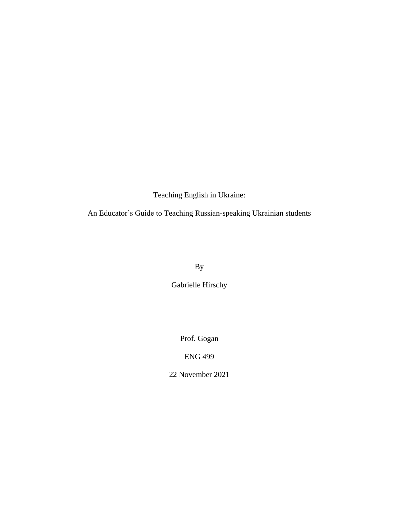Teaching English in Ukraine:

An Educator's Guide to Teaching Russian-speaking Ukrainian students

By

Gabrielle Hirschy

Prof. Gogan

ENG 499

22 November 2021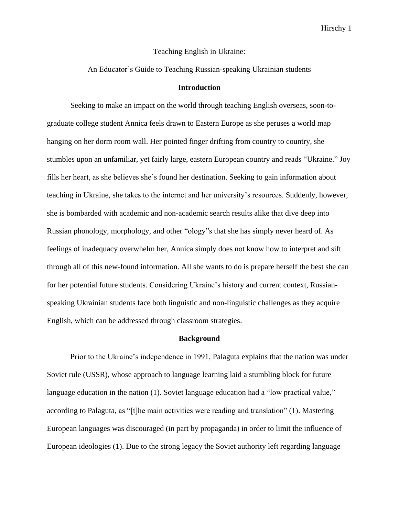#### Teaching English in Ukraine:

An Educator's Guide to Teaching Russian-speaking Ukrainian students

## **Introduction**

Seeking to make an impact on the world through teaching English overseas, soon-tograduate college student Annica feels drawn to Eastern Europe as she peruses a world map hanging on her dorm room wall. Her pointed finger drifting from country to country, she stumbles upon an unfamiliar, yet fairly large, eastern European country and reads "Ukraine." Joy fills her heart, as she believes she's found her destination. Seeking to gain information about teaching in Ukraine, she takes to the internet and her university's resources. Suddenly, however, she is bombarded with academic and non-academic search results alike that dive deep into Russian phonology, morphology, and other "ology"s that she has simply never heard of. As feelings of inadequacy overwhelm her, Annica simply does not know how to interpret and sift through all of this new-found information. All she wants to do is prepare herself the best she can for her potential future students. Considering Ukraine's history and current context, Russianspeaking Ukrainian students face both linguistic and non-linguistic challenges as they acquire English, which can be addressed through classroom strategies.

#### **Background**

Prior to the Ukraine's independence in 1991, Palaguta explains that the nation was under Soviet rule (USSR), whose approach to language learning laid a stumbling block for future language education in the nation (1). Soviet language education had a "low practical value," according to Palaguta, as "[t]he main activities were reading and translation" (1). Mastering European languages was discouraged (in part by propaganda) in order to limit the influence of European ideologies (1). Due to the strong legacy the Soviet authority left regarding language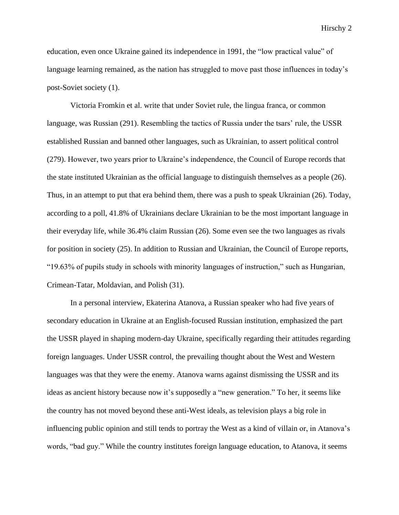education, even once Ukraine gained its independence in 1991, the "low practical value" of language learning remained, as the nation has struggled to move past those influences in today's post-Soviet society (1).

Victoria Fromkin et al. write that under Soviet rule, the lingua franca, or common language, was Russian (291). Resembling the tactics of Russia under the tsars' rule, the USSR established Russian and banned other languages, such as Ukrainian, to assert political control (279). However, two years prior to Ukraine's independence, the Council of Europe records that the state instituted Ukrainian as the official language to distinguish themselves as a people (26). Thus, in an attempt to put that era behind them, there was a push to speak Ukrainian (26). Today, according to a poll, 41.8% of Ukrainians declare Ukrainian to be the most important language in their everyday life, while 36.4% claim Russian (26). Some even see the two languages as rivals for position in society (25). In addition to Russian and Ukrainian, the Council of Europe reports, "19.63% of pupils study in schools with minority languages of instruction," such as Hungarian, Crimean-Tatar, Moldavian, and Polish (31).

In a personal interview, Ekaterina Atanova, a Russian speaker who had five years of secondary education in Ukraine at an English-focused Russian institution, emphasized the part the USSR played in shaping modern-day Ukraine, specifically regarding their attitudes regarding foreign languages. Under USSR control, the prevailing thought about the West and Western languages was that they were the enemy. Atanova warns against dismissing the USSR and its ideas as ancient history because now it's supposedly a "new generation." To her, it seems like the country has not moved beyond these anti-West ideals, as television plays a big role in influencing public opinion and still tends to portray the West as a kind of villain or, in Atanova's words, "bad guy." While the country institutes foreign language education, to Atanova, it seems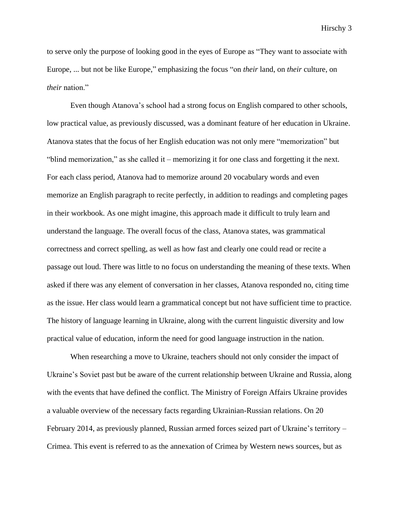to serve only the purpose of looking good in the eyes of Europe as "They want to associate with Europe, ... but not be like Europe," emphasizing the focus "on *their* land, on *their* culture, on *their* nation."

Even though Atanova's school had a strong focus on English compared to other schools, low practical value, as previously discussed, was a dominant feature of her education in Ukraine. Atanova states that the focus of her English education was not only mere "memorization" but "blind memorization," as she called it – memorizing it for one class and forgetting it the next. For each class period, Atanova had to memorize around 20 vocabulary words and even memorize an English paragraph to recite perfectly, in addition to readings and completing pages in their workbook. As one might imagine, this approach made it difficult to truly learn and understand the language. The overall focus of the class, Atanova states, was grammatical correctness and correct spelling, as well as how fast and clearly one could read or recite a passage out loud. There was little to no focus on understanding the meaning of these texts. When asked if there was any element of conversation in her classes, Atanova responded no, citing time as the issue. Her class would learn a grammatical concept but not have sufficient time to practice. The history of language learning in Ukraine, along with the current linguistic diversity and low practical value of education, inform the need for good language instruction in the nation.

When researching a move to Ukraine, teachers should not only consider the impact of Ukraine's Soviet past but be aware of the current relationship between Ukraine and Russia, along with the events that have defined the conflict. The Ministry of Foreign Affairs Ukraine provides a valuable overview of the necessary facts regarding Ukrainian-Russian relations. On 20 February 2014, as previously planned, Russian armed forces seized part of Ukraine's territory – Crimea. This event is referred to as the annexation of Crimea by Western news sources, but as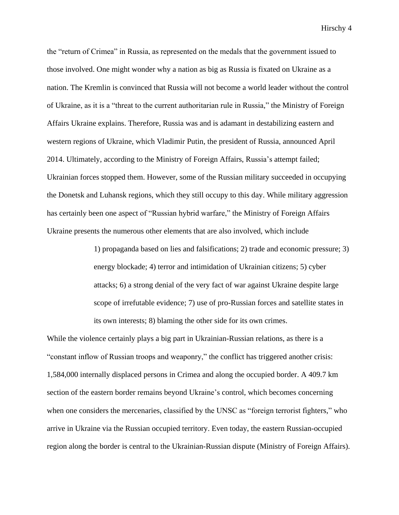the "return of Crimea" in Russia, as represented on the medals that the government issued to those involved. One might wonder why a nation as big as Russia is fixated on Ukraine as a nation. The Kremlin is convinced that Russia will not become a world leader without the control of Ukraine, as it is a "threat to the current authoritarian rule in Russia," the Ministry of Foreign Affairs Ukraine explains. Therefore, Russia was and is adamant in destabilizing eastern and western regions of Ukraine, which Vladimir Putin, the president of Russia, announced April 2014. Ultimately, according to the Ministry of Foreign Affairs, Russia's attempt failed; Ukrainian forces stopped them. However, some of the Russian military succeeded in occupying the Donetsk and Luhansk regions, which they still occupy to this day. While military aggression has certainly been one aspect of "Russian hybrid warfare," the Ministry of Foreign Affairs Ukraine presents the numerous other elements that are also involved, which include

> 1) propaganda based on lies and falsifications; 2) trade and economic pressure; 3) energy blockade; 4) terror and intimidation of Ukrainian citizens; 5) cyber attacks; 6) a strong denial of the very fact of war against Ukraine despite large scope of irrefutable evidence; 7) use of pro-Russian forces and satellite states in its own interests; 8) blaming the other side for its own crimes.

While the violence certainly plays a big part in Ukrainian-Russian relations, as there is a "constant inflow of Russian troops and weaponry," the conflict has triggered another crisis: 1,584,000 internally displaced persons in Crimea and along the occupied border. A 409.7 km section of the eastern border remains beyond Ukraine's control, which becomes concerning when one considers the mercenaries, classified by the UNSC as "foreign terrorist fighters," who arrive in Ukraine via the Russian occupied territory. Even today, the eastern Russian-occupied region along the border is central to the Ukrainian-Russian dispute (Ministry of Foreign Affairs).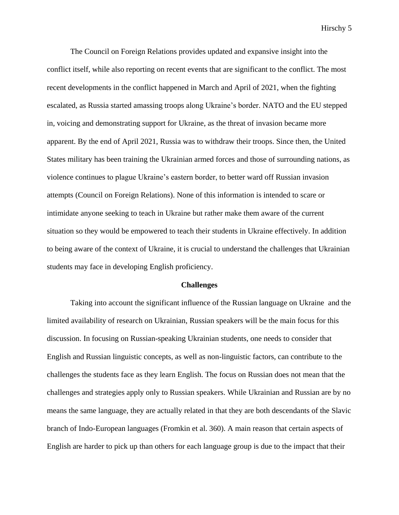The Council on Foreign Relations provides updated and expansive insight into the conflict itself, while also reporting on recent events that are significant to the conflict. The most recent developments in the conflict happened in March and April of 2021, when the fighting escalated, as Russia started amassing troops along Ukraine's border. NATO and the EU stepped in, voicing and demonstrating support for Ukraine, as the threat of invasion became more apparent. By the end of April 2021, Russia was to withdraw their troops. Since then, the United States military has been training the Ukrainian armed forces and those of surrounding nations, as violence continues to plague Ukraine's eastern border, to better ward off Russian invasion attempts (Council on Foreign Relations). None of this information is intended to scare or intimidate anyone seeking to teach in Ukraine but rather make them aware of the current situation so they would be empowered to teach their students in Ukraine effectively. In addition to being aware of the context of Ukraine, it is crucial to understand the challenges that Ukrainian students may face in developing English proficiency.

#### **Challenges**

Taking into account the significant influence of the Russian language on Ukraine and the limited availability of research on Ukrainian, Russian speakers will be the main focus for this discussion. In focusing on Russian-speaking Ukrainian students, one needs to consider that English and Russian linguistic concepts, as well as non-linguistic factors, can contribute to the challenges the students face as they learn English. The focus on Russian does not mean that the challenges and strategies apply only to Russian speakers. While Ukrainian and Russian are by no means the same language, they are actually related in that they are both descendants of the Slavic branch of Indo-European languages (Fromkin et al. 360). A main reason that certain aspects of English are harder to pick up than others for each language group is due to the impact that their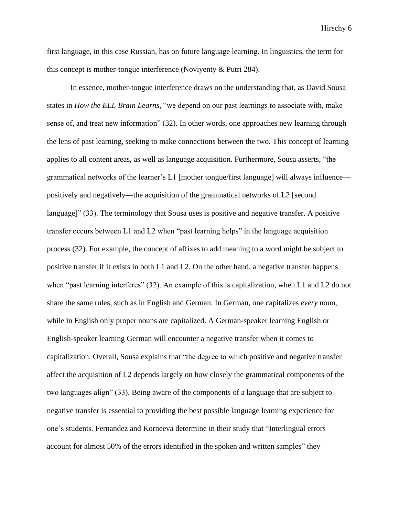first language, in this case Russian, has on future language learning. In linguistics, the term for this concept is mother-tongue interference (Noviyenty & Putri 284).

In essence, mother-tongue interference draws on the understanding that, as David Sousa states in *How the ELL Brain Learns*, "we depend on our past learnings to associate with, make sense of, and treat new information" (32). In other words, one approaches new learning through the lens of past learning, seeking to make connections between the two. This concept of learning applies to all content areas, as well as language acquisition. Furthermore, Sousa asserts, "the grammatical networks of the learner's L1 [mother tongue/first language] will always influence positively and negatively—the acquisition of the grammatical networks of L2 [second language]" (33). The terminology that Sousa uses is positive and negative transfer. A positive transfer occurs between L1 and L2 when "past learning helps" in the language acquisition process (32). For example, the concept of affixes to add meaning to a word might be subject to positive transfer if it exists in both L1 and L2. On the other hand, a negative transfer happens when "past learning interferes" (32). An example of this is capitalization, when L1 and L2 do not share the same rules, such as in English and German. In German, one capitalizes *every* noun, while in English only proper nouns are capitalized. A German-speaker learning English or English-speaker learning German will encounter a negative transfer when it comes to capitalization. Overall, Sousa explains that "the degree to which positive and negative transfer affect the acquisition of L2 depends largely on how closely the grammatical components of the two languages align" (33). Being aware of the components of a language that are subject to negative transfer is essential to providing the best possible language learning experience for one's students. Fernandez and Korneeva determine in their study that "Interlingual errors account for almost 50% of the errors identified in the spoken and written samples" they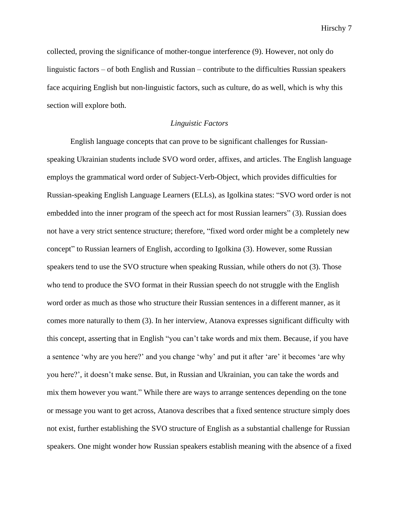collected, proving the significance of mother-tongue interference (9). However, not only do linguistic factors – of both English and Russian – contribute to the difficulties Russian speakers face acquiring English but non-linguistic factors, such as culture, do as well, which is why this section will explore both.

# *Linguistic Factors*

English language concepts that can prove to be significant challenges for Russianspeaking Ukrainian students include SVO word order, affixes, and articles. The English language employs the grammatical word order of Subject-Verb-Object, which provides difficulties for Russian-speaking English Language Learners (ELLs), as Igolkina states: "SVO word order is not embedded into the inner program of the speech act for most Russian learners" (3). Russian does not have a very strict sentence structure; therefore, "fixed word order might be a completely new concept" to Russian learners of English, according to Igolkina (3). However, some Russian speakers tend to use the SVO structure when speaking Russian, while others do not (3). Those who tend to produce the SVO format in their Russian speech do not struggle with the English word order as much as those who structure their Russian sentences in a different manner, as it comes more naturally to them (3). In her interview, Atanova expresses significant difficulty with this concept, asserting that in English "you can't take words and mix them. Because, if you have a sentence 'why are you here?' and you change 'why' and put it after 'are' it becomes 'are why you here?', it doesn't make sense. But, in Russian and Ukrainian, you can take the words and mix them however you want." While there are ways to arrange sentences depending on the tone or message you want to get across, Atanova describes that a fixed sentence structure simply does not exist, further establishing the SVO structure of English as a substantial challenge for Russian speakers. One might wonder how Russian speakers establish meaning with the absence of a fixed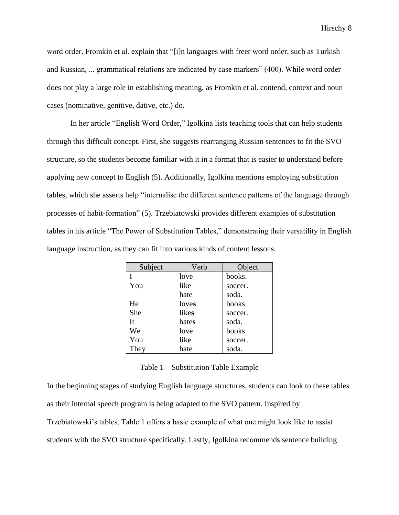word order. Fromkin et al. explain that "[i]n languages with freer word order, such as Turkish and Russian, ... grammatical relations are indicated by case markers" (400). While word order does not play a large role in establishing meaning, as Fromkin et al. contend, context and noun cases (nominative, genitive, dative, etc.) do.

In her article "English Word Order," Igolkina lists teaching tools that can help students through this difficult concept. First, she suggests rearranging Russian sentences to fit the SVO structure, so the students become familiar with it in a format that is easier to understand before applying new concept to English (5). Additionally, Igolkina mentions employing substitution tables, which she asserts help "internalise the different sentence patterns of the language through processes of habit-formation" (5). Trzebiatowski provides different examples of substitution tables in his article "The Power of Substitution Tables," demonstrating their versatility in English language instruction, as they can fit into various kinds of content lessons.

| Subject | Verb  | Object  |
|---------|-------|---------|
|         | love  | books.  |
| You     | like  | soccer. |
|         | hate  | soda.   |
| He      | loves | books.  |
| She     | likes | soccer. |
| It      | hates | soda.   |
| We      | love  | books.  |
| You     | like  | soccer. |
| They    | hate  | soda.   |

Table 1 – Substitution Table Example

In the beginning stages of studying English language structures, students can look to these tables as their internal speech program is being adapted to the SVO pattern. Inspired by Trzebiatowski's tables, Table 1 offers a basic example of what one might look like to assist students with the SVO structure specifically. Lastly, Igolkina recommends sentence building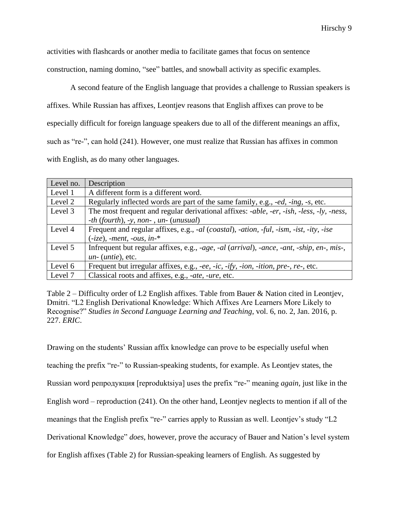activities with flashcards or another media to facilitate games that focus on sentence construction, naming domino, "see" battles, and snowball activity as specific examples.

A second feature of the English language that provides a challenge to Russian speakers is affixes. While Russian has affixes, Leontjev reasons that English affixes can prove to be especially difficult for foreign language speakers due to all of the different meanings an affix, such as "re-", can hold (241). However, one must realize that Russian has affixes in common with English, as do many other languages.

| Level no. | Description                                                                                                                                    |
|-----------|------------------------------------------------------------------------------------------------------------------------------------------------|
| Level 1   | A different form is a different word.                                                                                                          |
| Level 2   | Regularly inflected words are part of the same family, e.g., <i>-ed</i> , <i>-ing</i> , <i>-s</i> , etc.                                       |
| Level 3   | The most frequent and regular derivational affixes: -able, -er, -ish, -less, -ly, -ness,                                                       |
|           | $-th$ (fourth), $-y$ , non-, un- (unusual)                                                                                                     |
| Level 4   | Frequent and regular affixes, e.g., <i>-al (coastal)</i> , <i>-ation</i> , <i>-ful</i> , <i>-ism</i> , <i>-ist</i> , <i>-ity</i> , <i>-ise</i> |
|           | $(-ize)$ , -ment, -ous, in-*                                                                                                                   |
| Level 5   | Infrequent but regular affixes, e.g., -age, -al (arrival), -ance, -ant, -ship, en-, mis-,                                                      |
|           | un- (untie), etc.                                                                                                                              |
| Level 6   | Frequent but irregular affixes, e.g., -ee, -ic, -ify, -ion, -ition, pre-, re-, etc.                                                            |
| Level 7   | Classical roots and affixes, e.g., -ate, -ure, etc.                                                                                            |

Table 2 – Difficulty order of L2 English affixes. Table from Bauer & Nation cited in Leontjev, Dmitri. "L2 English Derivational Knowledge: Which Affixes Are Learners More Likely to Recognise?" *Studies in Second Language Learning and Teaching*, vol. 6, no. 2, Jan. 2016, p. 227. *ERIC*.

Drawing on the students' Russian affix knowledge can prove to be especially useful when teaching the prefix "re-" to Russian-speaking students, for example. As Leontjev states, the Russian word репродукция [reproduktsiya] uses the prefix "re-" meaning *again,* just like in the English word – reproduction (241). On the other hand, Leontjev neglects to mention if all of the meanings that the English prefix "re-" carries apply to Russian as well. Leontjev's study "L2 Derivational Knowledge" *does*, however, prove the accuracy of Bauer and Nation's level system for English affixes (Table 2) for Russian-speaking learners of English. As suggested by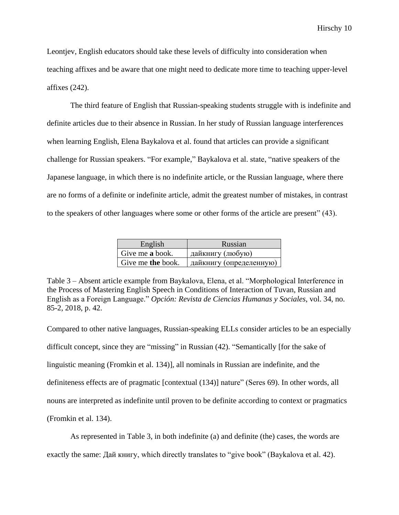Leontjev, English educators should take these levels of difficulty into consideration when teaching affixes and be aware that one might need to dedicate more time to teaching upper-level affixes (242).

The third feature of English that Russian-speaking students struggle with is indefinite and definite articles due to their absence in Russian. In her study of Russian language interferences when learning English, Elena Baykalova et al. found that articles can provide a significant challenge for Russian speakers. "For example," Baykalova et al. state, "native speakers of the Japanese language, in which there is no indefinite article, or the Russian language, where there are no forms of a definite or indefinite article, admit the greatest number of mistakes, in contrast to the speakers of other languages where some or other forms of the article are present" (43).

| English                | Russian                 |
|------------------------|-------------------------|
| Give me <b>a</b> book. | дайкнигу (любую)        |
| Give me the book.      | дайкнигу (определенную) |

Table 3 – Absent article example from Baykalova, Elena, et al. "Morphological Interference in the Process of Mastering English Speech in Conditions of Interaction of Tuvan, Russian and English as a Foreign Language." *Opción: Revista de Ciencias Humanas y Sociales*, vol. 34, no. 85-2, 2018, p. 42.

Compared to other native languages, Russian-speaking ELLs consider articles to be an especially difficult concept, since they are "missing" in Russian (42). "Semantically [for the sake of linguistic meaning (Fromkin et al. 134)], all nominals in Russian are indefinite, and the definiteness effects are of pragmatic [contextual (134)] nature" (Seres 69). In other words, all nouns are interpreted as indefinite until proven to be definite according to context or pragmatics (Fromkin et al. 134).

As represented in Table 3, in both indefinite (a) and definite (the) cases, the words are

exactly the same: Дай книгу, which directly translates to "give book" (Baykalova et al. 42).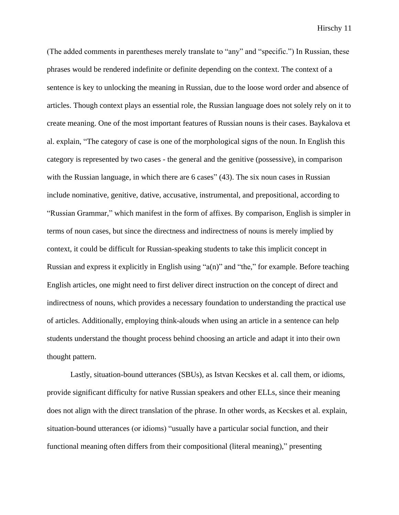(The added comments in parentheses merely translate to "any" and "specific.") In Russian, these phrases would be rendered indefinite or definite depending on the context. The context of a sentence is key to unlocking the meaning in Russian, due to the loose word order and absence of articles. Though context plays an essential role, the Russian language does not solely rely on it to create meaning. One of the most important features of Russian nouns is their cases. Baykalova et al. explain, "The category of case is one of the morphological signs of the noun. In English this category is represented by two cases - the general and the genitive (possessive), in comparison with the Russian language, in which there are 6 cases" (43). The six noun cases in Russian include nominative, genitive, dative, accusative, instrumental, and prepositional, according to "Russian Grammar," which manifest in the form of affixes. By comparison, English is simpler in terms of noun cases, but since the directness and indirectness of nouns is merely implied by context, it could be difficult for Russian-speaking students to take this implicit concept in Russian and express it explicitly in English using "a(n)" and "the," for example. Before teaching English articles, one might need to first deliver direct instruction on the concept of direct and indirectness of nouns, which provides a necessary foundation to understanding the practical use of articles. Additionally, employing think-alouds when using an article in a sentence can help students understand the thought process behind choosing an article and adapt it into their own thought pattern.

Lastly, situation-bound utterances (SBUs), as Istvan Kecskes et al. call them, or idioms, provide significant difficulty for native Russian speakers and other ELLs, since their meaning does not align with the direct translation of the phrase. In other words, as Kecskes et al. explain, situation-bound utterances (or idioms) "usually have a particular social function, and their functional meaning often differs from their compositional (literal meaning)," presenting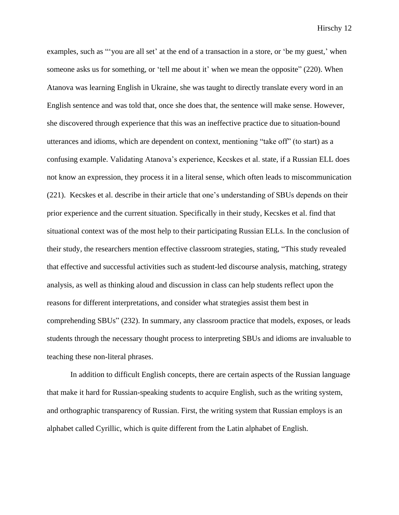examples, such as "'you are all set' at the end of a transaction in a store, or 'be my guest,' when someone asks us for something, or 'tell me about it' when we mean the opposite" (220). When Atanova was learning English in Ukraine, she was taught to directly translate every word in an English sentence and was told that, once she does that, the sentence will make sense. However, she discovered through experience that this was an ineffective practice due to situation-bound utterances and idioms, which are dependent on context, mentioning "take off" (to start) as a confusing example. Validating Atanova's experience, Kecskes et al. state, if a Russian ELL does not know an expression, they process it in a literal sense, which often leads to miscommunication (221). Kecskes et al. describe in their article that one's understanding of SBUs depends on their prior experience and the current situation. Specifically in their study, Kecskes et al. find that situational context was of the most help to their participating Russian ELLs. In the conclusion of their study, the researchers mention effective classroom strategies, stating, "This study revealed that effective and successful activities such as student-led discourse analysis, matching, strategy analysis, as well as thinking aloud and discussion in class can help students reflect upon the reasons for different interpretations, and consider what strategies assist them best in comprehending SBUs" (232). In summary, any classroom practice that models, exposes, or leads students through the necessary thought process to interpreting SBUs and idioms are invaluable to teaching these non-literal phrases.

In addition to difficult English concepts, there are certain aspects of the Russian language that make it hard for Russian-speaking students to acquire English, such as the writing system, and orthographic transparency of Russian. First, the writing system that Russian employs is an alphabet called Cyrillic, which is quite different from the Latin alphabet of English.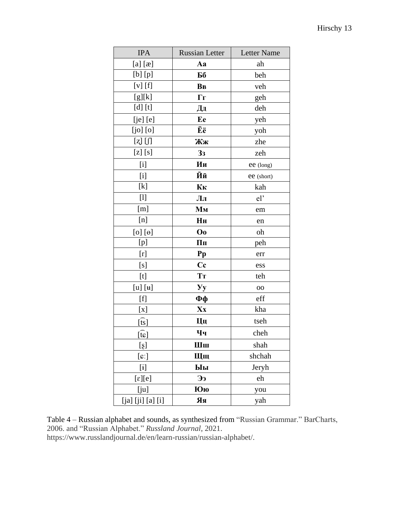| <b>IPA</b>                                                                                                                                                                                                                                                                                                                                                                                                                                                                                                                                                                                                                                                                       | <b>Russian Letter</b> | <b>Letter Name</b> |
|----------------------------------------------------------------------------------------------------------------------------------------------------------------------------------------------------------------------------------------------------------------------------------------------------------------------------------------------------------------------------------------------------------------------------------------------------------------------------------------------------------------------------------------------------------------------------------------------------------------------------------------------------------------------------------|-----------------------|--------------------|
| $[a]$ $[x]$                                                                                                                                                                                                                                                                                                                                                                                                                                                                                                                                                                                                                                                                      | Aa                    | ah                 |
| $[b]$ $[p]$                                                                                                                                                                                                                                                                                                                                                                                                                                                                                                                                                                                                                                                                      | Бб                    | beh                |
| [v] [f]                                                                                                                                                                                                                                                                                                                                                                                                                                                                                                                                                                                                                                                                          | Bв                    | veh                |
| [g][k]                                                                                                                                                                                                                                                                                                                                                                                                                                                                                                                                                                                                                                                                           | $\Gamma$ r            | geh                |
| $[d]$ $[t]$                                                                                                                                                                                                                                                                                                                                                                                                                                                                                                                                                                                                                                                                      | Дд                    | deh                |
| [je] [e]                                                                                                                                                                                                                                                                                                                                                                                                                                                                                                                                                                                                                                                                         | Ee                    | yeh                |
| $[j0]$ $[0]$                                                                                                                                                                                                                                                                                                                                                                                                                                                                                                                                                                                                                                                                     | Ëë                    | yoh                |
| [z] [ʃ]                                                                                                                                                                                                                                                                                                                                                                                                                                                                                                                                                                                                                                                                          | Жж                    | zhe                |
| $[z]$ $[s]$                                                                                                                                                                                                                                                                                                                                                                                                                                                                                                                                                                                                                                                                      | 3 <sub>3</sub>        | zeh                |
| [i]                                                                                                                                                                                                                                                                                                                                                                                                                                                                                                                                                                                                                                                                              | Ии                    | ee (long)          |
| $[1]$                                                                                                                                                                                                                                                                                                                                                                                                                                                                                                                                                                                                                                                                            | Ӣӣ                    | ee (short)         |
| $[k]$                                                                                                                                                                                                                                                                                                                                                                                                                                                                                                                                                                                                                                                                            | Кк                    | kah                |
| $[1]$                                                                                                                                                                                                                                                                                                                                                                                                                                                                                                                                                                                                                                                                            | Лл                    | el'                |
| [m]                                                                                                                                                                                                                                                                                                                                                                                                                                                                                                                                                                                                                                                                              | Mм                    | em                 |
| [n]                                                                                                                                                                                                                                                                                                                                                                                                                                                                                                                                                                                                                                                                              | Hн                    | en                 |
| $[0]$ $[0]$                                                                                                                                                                                                                                                                                                                                                                                                                                                                                                                                                                                                                                                                      | O <sub>o</sub>        | oh                 |
| [p]                                                                                                                                                                                                                                                                                                                                                                                                                                                                                                                                                                                                                                                                              | Пп                    | peh                |
| [r]                                                                                                                                                                                                                                                                                                                                                                                                                                                                                                                                                                                                                                                                              | $P_{p}$               | err                |
| [s]                                                                                                                                                                                                                                                                                                                                                                                                                                                                                                                                                                                                                                                                              | Cc                    | ess                |
| $[t] \centering% \includegraphics[width=0.9\columnwidth]{figures/fig_10.pdf} \caption{The 3D (black) model for a different region of the parameter $\Omega$. The left shows a function of the parameter $\Omega$. The left shows a function of the parameter $\Omega$. The right shows a function of the parameter $\Omega$. The right shows a function of the parameter $\Omega$. The right shows a function of the parameter $\Omega$. The right shows a function of the parameter $\Omega$. The right shows a function of the parameter $\Omega$. The right shows a function of the parameter $\Omega$. The right shows a function of the parameter $\Omega$.} \label{fig:1}$ | Tт                    | teh                |
| $[u]$ $[u]$                                                                                                                                                                                                                                                                                                                                                                                                                                                                                                                                                                                                                                                                      | $\mathbf{y}_y$        | $\overline{O}O$    |
| [f]                                                                                                                                                                                                                                                                                                                                                                                                                                                                                                                                                                                                                                                                              | Фф                    | eff                |
| $\left[ \text{x} \right]$                                                                                                                                                                                                                                                                                                                                                                                                                                                                                                                                                                                                                                                        | Xx                    | kha                |
| $[\widehat{\mathsf{ts}}]$                                                                                                                                                                                                                                                                                                                                                                                                                                                                                                                                                                                                                                                        | Цц                    | tseh               |
| [tc]                                                                                                                                                                                                                                                                                                                                                                                                                                                                                                                                                                                                                                                                             | Чч                    | cheh               |
| [s]                                                                                                                                                                                                                                                                                                                                                                                                                                                                                                                                                                                                                                                                              | Шш                    | shah               |
| $[c!]% \centering \includegraphics[width=1\textwidth]{images/Traj_4.pdf} \caption{The figure shows the number of parameters in the left and right. The number of parameters are indicated with the number of different values.} \label{fig:Traj_4.pdf}$                                                                                                                                                                                                                                                                                                                                                                                                                          | Щщ                    | shchah             |
| $[4]$                                                                                                                                                                                                                                                                                                                                                                                                                                                                                                                                                                                                                                                                            | Ыы                    | Jeryh              |
| $[\epsilon][e]$                                                                                                                                                                                                                                                                                                                                                                                                                                                                                                                                                                                                                                                                  | E                     | eh                 |
| [ju]                                                                                                                                                                                                                                                                                                                                                                                                                                                                                                                                                                                                                                                                             | Юю                    | you                |
| [ja] [ji] [a] [i]                                                                                                                                                                                                                                                                                                                                                                                                                                                                                                                                                                                                                                                                | Яя                    | yah                |

Table 4 – Russian alphabet and sounds, as synthesized from "Russian Grammar." BarCharts, 2006. and "Russian Alphabet." *Russland Journal*, 2021.

https://www.russlandjournal.de/en/learn-russian/russian-alphabet/.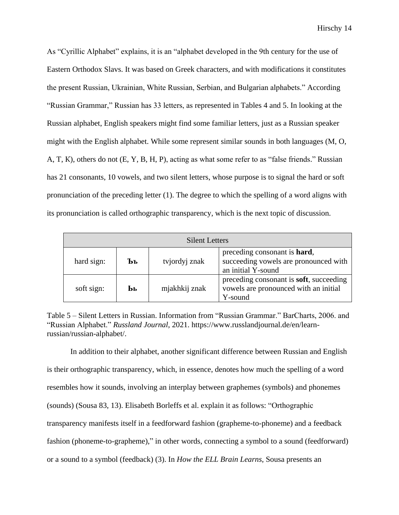As "Cyrillic Alphabet" explains, it is an "alphabet developed in the 9th century for the use of Eastern Orthodox Slavs. It was based on Greek characters, and with modifications it constitutes the present Russian, Ukrainian, White Russian, Serbian, and Bulgarian alphabets." According "Russian Grammar," Russian has 33 letters, as represented in Tables 4 and 5. In looking at the Russian alphabet, English speakers might find some familiar letters, just as a Russian speaker might with the English alphabet. While some represent similar sounds in both languages (М, O, A, T, К), others do not (E, Y, B, H, P), acting as what some refer to as "false friends." Russian has 21 consonants, 10 vowels, and two silent letters, whose purpose is to signal the hard or soft pronunciation of the preceding letter (1). The degree to which the spelling of a word aligns with its pronunciation is called orthographic transparency, which is the next topic of discussion.

| <b>Silent Letters</b> |    |               |                                                                                                     |
|-----------------------|----|---------------|-----------------------------------------------------------------------------------------------------|
| hard sign:            | Ъъ | tvjordyj znak | preceding consonant is <b>hard</b> ,<br>succeeding vowels are pronounced with<br>an initial Y-sound |
| soft sign:            | Ьь | mjakhkij znak | preceding consonant is <b>soft</b> , succeeding<br>vowels are pronounced with an initial<br>Y-sound |

Table 5 – Silent Letters in Russian. Information from "Russian Grammar." BarCharts, 2006. and "Russian Alphabet." *Russland Journal*, 2021. https://www.russlandjournal.de/en/learnrussian/russian-alphabet/.

In addition to their alphabet, another significant difference between Russian and English is their orthographic transparency, which, in essence, denotes how much the spelling of a word resembles how it sounds, involving an interplay between graphemes (symbols) and phonemes (sounds) (Sousa 83, 13). Elisabeth Borleffs et al. explain it as follows: "Orthographic transparency manifests itself in a feedforward fashion (grapheme-to-phoneme) and a feedback fashion (phoneme-to-grapheme)," in other words, connecting a symbol to a sound (feedforward) or a sound to a symbol (feedback) (3). In *How the ELL Brain Learns*, Sousa presents an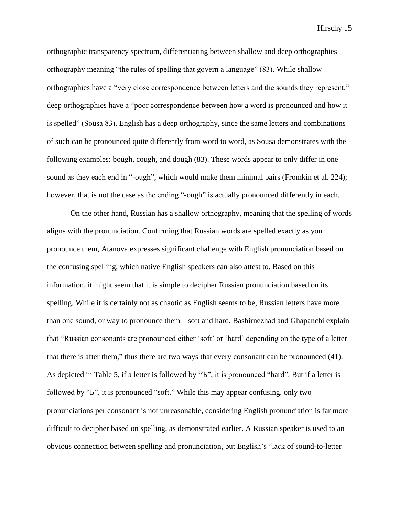orthographic transparency spectrum, differentiating between shallow and deep orthographies – orthography meaning "the rules of spelling that govern a language" (83). While shallow orthographies have a "very close correspondence between letters and the sounds they represent," deep orthographies have a "poor correspondence between how a word is pronounced and how it is spelled" (Sousa 83). English has a deep orthography, since the same letters and combinations of such can be pronounced quite differently from word to word, as Sousa demonstrates with the following examples: bough, cough, and dough (83). These words appear to only differ in one sound as they each end in "-ough", which would make them minimal pairs (Fromkin et al. 224); however, that is not the case as the ending "*-*ough" is actually pronounced differently in each.

On the other hand, Russian has a shallow orthography, meaning that the spelling of words aligns with the pronunciation. Confirming that Russian words are spelled exactly as you pronounce them, Atanova expresses significant challenge with English pronunciation based on the confusing spelling, which native English speakers can also attest to. Based on this information, it might seem that it is simple to decipher Russian pronunciation based on its spelling. While it is certainly not as chaotic as English seems to be, Russian letters have more than one sound, or way to pronounce them – soft and hard. Bashirnezhad and Ghapanchi explain that "Russian consonants are pronounced either 'soft' or 'hard' depending on the type of a letter that there is after them," thus there are two ways that every consonant can be pronounced (41). As depicted in Table 5, if a letter is followed by "Ъ", it is pronounced "hard". But if a letter is followed by "Ь", it is pronounced "soft." While this may appear confusing, only two pronunciations per consonant is not unreasonable, considering English pronunciation is far more difficult to decipher based on spelling, as demonstrated earlier. A Russian speaker is used to an obvious connection between spelling and pronunciation, but English's "lack of sound-to-letter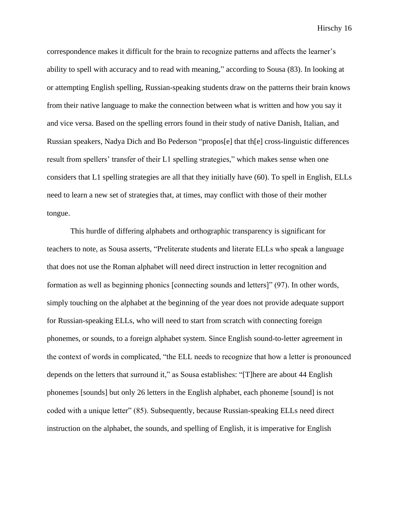correspondence makes it difficult for the brain to recognize patterns and affects the learner's ability to spell with accuracy and to read with meaning," according to Sousa (83). In looking at or attempting English spelling, Russian-speaking students draw on the patterns their brain knows from their native language to make the connection between what is written and how you say it and vice versa. Based on the spelling errors found in their study of native Danish, Italian, and Russian speakers, Nadya Dich and Bo Pederson "propos[e] that th[e] cross-linguistic differences result from spellers' transfer of their L1 spelling strategies," which makes sense when one considers that L1 spelling strategies are all that they initially have (60). To spell in English, ELLs need to learn a new set of strategies that, at times, may conflict with those of their mother tongue.

This hurdle of differing alphabets and orthographic transparency is significant for teachers to note, as Sousa asserts, "Preliterate students and literate ELLs who speak a language that does not use the Roman alphabet will need direct instruction in letter recognition and formation as well as beginning phonics [connecting sounds and letters]" (97). In other words, simply touching on the alphabet at the beginning of the year does not provide adequate support for Russian-speaking ELLs, who will need to start from scratch with connecting foreign phonemes, or sounds, to a foreign alphabet system. Since English sound-to-letter agreement in the context of words in complicated, "the ELL needs to recognize that how a letter is pronounced depends on the letters that surround it," as Sousa establishes: "[T]here are about 44 English phonemes [sounds] but only 26 letters in the English alphabet, each phoneme [sound] is not coded with a unique letter" (85). Subsequently, because Russian-speaking ELLs need direct instruction on the alphabet, the sounds, and spelling of English, it is imperative for English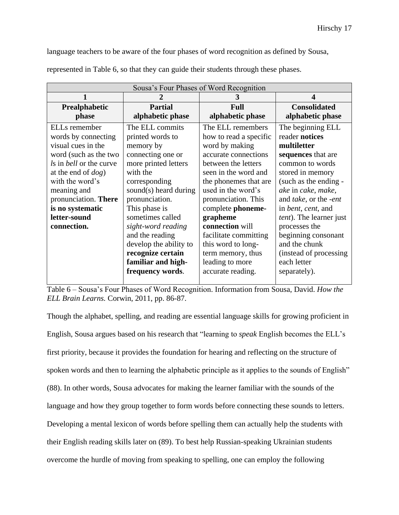language teachers to be aware of the four phases of word recognition as defined by Sousa,

| Sousa's Four Phases of Word Recognition |                        |                        |                                    |
|-----------------------------------------|------------------------|------------------------|------------------------------------|
|                                         | 2                      | 3                      | 4                                  |
| Prealphabetic                           | <b>Partial</b>         | <b>Full</b>            | <b>Consolidated</b>                |
| phase                                   | alphabetic phase       | alphabetic phase       | alphabetic phase                   |
| ELLs remember                           | The ELL commits        | The ELL remembers      | The beginning ELL                  |
| words by connecting                     | printed words to       | how to read a specific | reader notices                     |
| visual cues in the                      | memory by              | word by making         | multiletter                        |
| word (such as the two                   | connecting one or      | accurate connections   | sequences that are                 |
| <i>ls</i> in <i>bell</i> or the curve   | more printed letters   | between the letters    | common to words                    |
| at the end of $dog$ )                   | with the               | seen in the word and   | stored in memory                   |
| with the word's                         | corresponding          | the phonemes that are  | (such as the ending -              |
| meaning and                             | sound(s) heard during  | used in the word's     | ake in cake, make,                 |
| pronunciation. There                    | pronunciation.         | pronunciation. This    | and take, or the -ent              |
| is no systematic                        | This phase is          | complete phoneme-      | in <i>bent</i> , <i>cent</i> , and |
| letter-sound                            | sometimes called       | grapheme               | <i>tent</i> ). The learner just    |
| connection.                             | sight-word reading     | connection will        | processes the                      |
|                                         | and the reading        | facilitate committing  | beginning consonant                |
|                                         | develop the ability to | this word to long-     | and the chunk                      |
|                                         | recognize certain      | term memory, thus      | (instead of processing)            |
|                                         | familiar and high-     | leading to more        | each letter                        |
|                                         | frequency words.       | accurate reading.      | separately).                       |
|                                         |                        |                        |                                    |

represented in Table 6, so that they can guide their students through these phases.

Table 6 – Sousa's Four Phases of Word Recognition. Information from Sousa, David. *How the ELL Brain Learns.* Corwin, 2011, pp. 86-87.

Though the alphabet, spelling, and reading are essential language skills for growing proficient in English, Sousa argues based on his research that "learning to *speak* English becomes the ELL's first priority, because it provides the foundation for hearing and reflecting on the structure of spoken words and then to learning the alphabetic principle as it applies to the sounds of English" (88). In other words, Sousa advocates for making the learner familiar with the sounds of the language and how they group together to form words before connecting these sounds to letters. Developing a mental lexicon of words before spelling them can actually help the students with their English reading skills later on (89). To best help Russian-speaking Ukrainian students overcome the hurdle of moving from speaking to spelling, one can employ the following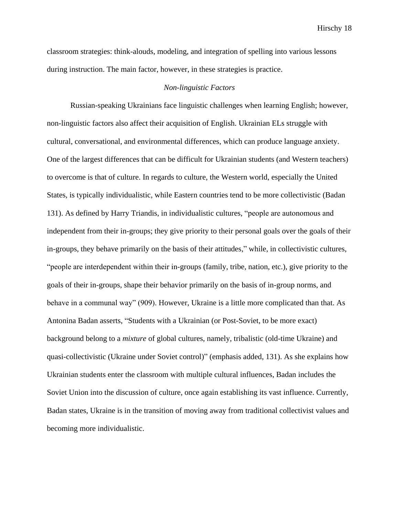classroom strategies: think-alouds, modeling, and integration of spelling into various lessons during instruction. The main factor, however, in these strategies is practice.

# *Non-linguistic Factors*

Russian-speaking Ukrainians face linguistic challenges when learning English; however, non-linguistic factors also affect their acquisition of English. Ukrainian ELs struggle with cultural, conversational, and environmental differences, which can produce language anxiety. One of the largest differences that can be difficult for Ukrainian students (and Western teachers) to overcome is that of culture. In regards to culture, the Western world, especially the United States, is typically individualistic, while Eastern countries tend to be more collectivistic (Badan 131). As defined by Harry Triandis, in individualistic cultures, "people are autonomous and independent from their in-groups; they give priority to their personal goals over the goals of their in-groups, they behave primarily on the basis of their attitudes," while, in collectivistic cultures, "people are interdependent within their in-groups (family, tribe, nation, etc.), give priority to the goals of their in-groups, shape their behavior primarily on the basis of in-group norms, and behave in a communal way" (909). However, Ukraine is a little more complicated than that. As Antonina Badan asserts, "Students with a Ukrainian (or Post-Soviet, to be more exact) background belong to a *mixture* of global cultures, namely, tribalistic (old-time Ukraine) and quasi-collectivistic (Ukraine under Soviet control)" (emphasis added, 131). As she explains how Ukrainian students enter the classroom with multiple cultural influences, Badan includes the Soviet Union into the discussion of culture, once again establishing its vast influence. Currently, Badan states, Ukraine is in the transition of moving away from traditional collectivist values and becoming more individualistic.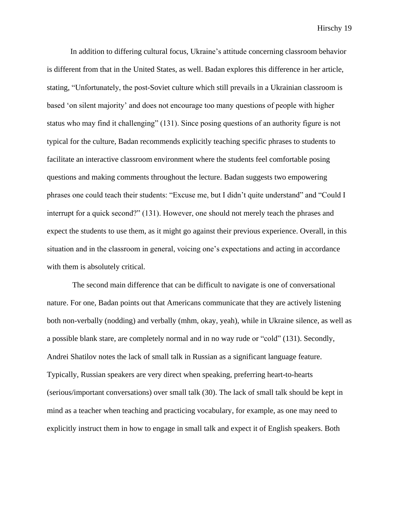In addition to differing cultural focus, Ukraine's attitude concerning classroom behavior is different from that in the United States, as well. Badan explores this difference in her article, stating, "Unfortunately, the post-Soviet culture which still prevails in a Ukrainian classroom is based 'on silent majority' and does not encourage too many questions of people with higher status who may find it challenging" (131). Since posing questions of an authority figure is not typical for the culture, Badan recommends explicitly teaching specific phrases to students to facilitate an interactive classroom environment where the students feel comfortable posing questions and making comments throughout the lecture. Badan suggests two empowering phrases one could teach their students: "Excuse me, but I didn't quite understand" and "Could I interrupt for a quick second?" (131). However, one should not merely teach the phrases and expect the students to use them, as it might go against their previous experience. Overall, in this situation and in the classroom in general, voicing one's expectations and acting in accordance with them is absolutely critical.

The second main difference that can be difficult to navigate is one of conversational nature. For one, Badan points out that Americans communicate that they are actively listening both non-verbally (nodding) and verbally (mhm, okay, yeah), while in Ukraine silence, as well as a possible blank stare, are completely normal and in no way rude or "cold" (131). Secondly, Andrei Shatilov notes the lack of small talk in Russian as a significant language feature. Typically, Russian speakers are very direct when speaking, preferring heart-to-hearts (serious/important conversations) over small talk (30). The lack of small talk should be kept in mind as a teacher when teaching and practicing vocabulary, for example, as one may need to explicitly instruct them in how to engage in small talk and expect it of English speakers. Both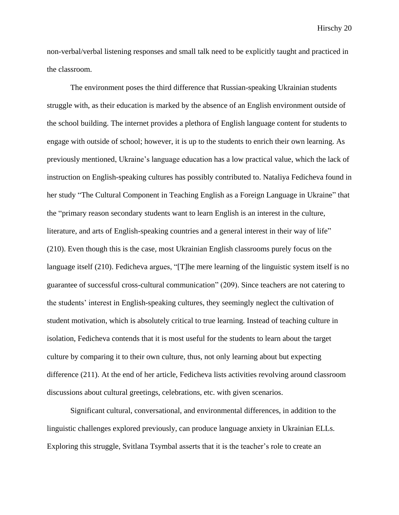non-verbal/verbal listening responses and small talk need to be explicitly taught and practiced in the classroom.

The environment poses the third difference that Russian-speaking Ukrainian students struggle with, as their education is marked by the absence of an English environment outside of the school building. The internet provides a plethora of English language content for students to engage with outside of school; however, it is up to the students to enrich their own learning. As previously mentioned, Ukraine's language education has a low practical value, which the lack of instruction on English-speaking cultures has possibly contributed to. Nataliya Fedicheva found in her study "The Cultural Component in Teaching English as a Foreign Language in Ukraine" that the "primary reason secondary students want to learn English is an interest in the culture, literature, and arts of English-speaking countries and a general interest in their way of life" (210). Even though this is the case, most Ukrainian English classrooms purely focus on the language itself (210). Fedicheva argues, "[T]he mere learning of the linguistic system itself is no guarantee of successful cross-cultural communication" (209). Since teachers are not catering to the students' interest in English-speaking cultures, they seemingly neglect the cultivation of student motivation, which is absolutely critical to true learning. Instead of teaching culture in isolation, Fedicheva contends that it is most useful for the students to learn about the target culture by comparing it to their own culture, thus, not only learning about but expecting difference (211). At the end of her article, Fedicheva lists activities revolving around classroom discussions about cultural greetings, celebrations, etc. with given scenarios.

Significant cultural, conversational, and environmental differences, in addition to the linguistic challenges explored previously, can produce language anxiety in Ukrainian ELLs. Exploring this struggle, Svitlana Tsymbal asserts that it is the teacher's role to create an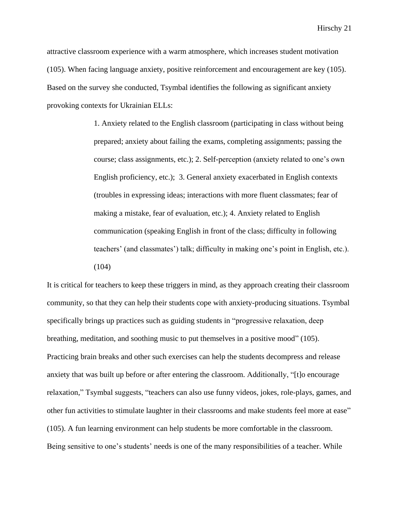attractive classroom experience with a warm atmosphere, which increases student motivation (105). When facing language anxiety, positive reinforcement and encouragement are key (105). Based on the survey she conducted, Tsymbal identifies the following as significant anxiety provoking contexts for Ukrainian ELLs:

> 1. Anxiety related to the English classroom (participating in class without being prepared; anxiety about failing the exams, completing assignments; passing the course; class assignments, etc.); 2. Self-perception (anxiety related to one's own English proficiency, etc.); 3. General anxiety exacerbated in English contexts (troubles in expressing ideas; interactions with more fluent classmates; fear of making a mistake, fear of evaluation, etc.); 4. Anxiety related to English communication (speaking English in front of the class; difficulty in following teachers' (and classmates') talk; difficulty in making one's point in English, etc.). (104)

It is critical for teachers to keep these triggers in mind, as they approach creating their classroom community, so that they can help their students cope with anxiety-producing situations. Tsymbal specifically brings up practices such as guiding students in "progressive relaxation, deep breathing, meditation, and soothing music to put themselves in a positive mood" (105). Practicing brain breaks and other such exercises can help the students decompress and release anxiety that was built up before or after entering the classroom. Additionally, "[t]o encourage relaxation," Tsymbal suggests, "teachers can also use funny videos, jokes, role-plays, games, and other fun activities to stimulate laughter in their classrooms and make students feel more at ease" (105). A fun learning environment can help students be more comfortable in the classroom. Being sensitive to one's students' needs is one of the many responsibilities of a teacher. While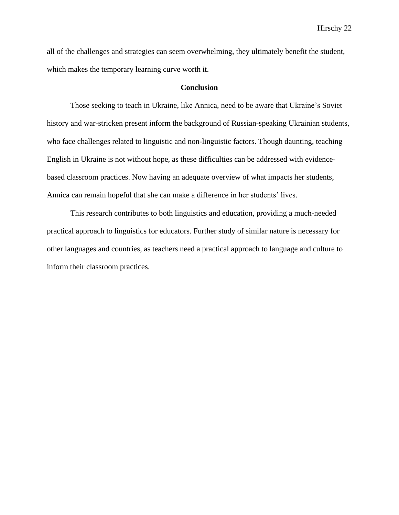all of the challenges and strategies can seem overwhelming, they ultimately benefit the student, which makes the temporary learning curve worth it.

## **Conclusion**

Those seeking to teach in Ukraine, like Annica, need to be aware that Ukraine's Soviet history and war-stricken present inform the background of Russian-speaking Ukrainian students, who face challenges related to linguistic and non-linguistic factors. Though daunting, teaching English in Ukraine is not without hope, as these difficulties can be addressed with evidencebased classroom practices. Now having an adequate overview of what impacts her students, Annica can remain hopeful that she can make a difference in her students' lives.

This research contributes to both linguistics and education, providing a much-needed practical approach to linguistics for educators. Further study of similar nature is necessary for other languages and countries, as teachers need a practical approach to language and culture to inform their classroom practices.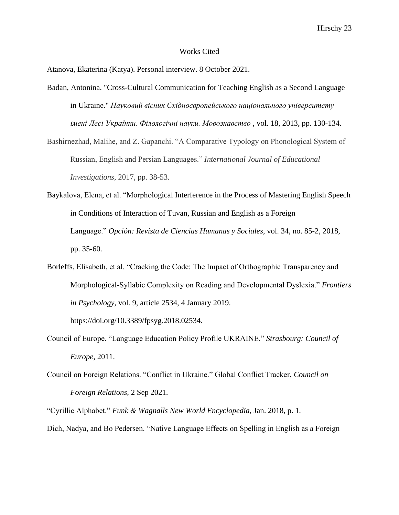#### Works Cited

Atanova, Ekaterina (Katya). Personal interview. 8 October 2021.

- Badan, Antonina. "Cross-Cultural Communication for Teaching English as a Second Language in Ukraine." *Науковий вісник Східноєвропейського національного університету імені Лесі Українки. Філологічні науки. Мовознавство ,* vol. 18, 2013, pp. 130-134.
- Bashirnezhad, Malihe, and Z. Gapanchi. "A Comparative Typology on Phonological System of Russian, English and Persian Languages." *International Journal of Educational Investigations*, 2017, pp. 38-53.
- Baykalova, Elena, et al. "Morphological Interference in the Process of Mastering English Speech in Conditions of Interaction of Tuvan, Russian and English as a Foreign Language." *Opción: Revista de Ciencias Humanas y Sociales*, vol. 34, no. 85-2, 2018, pp. 35-60.
- Borleffs, Elisabeth, et al. "Cracking the Code: The Impact of Orthographic Transparency and Morphological-Syllabic Complexity on Reading and Developmental Dyslexia." *Frontiers in Psychology,* vol. 9, article 2534, 4 January 2019.

https://doi.org/10.3389/fpsyg.2018.02534.

- Council of Europe. "Language Education Policy Profile UKRAINE." *Strasbourg: Council of Europe,* 2011.
- Council on Foreign Relations. "Conflict in Ukraine." Global Conflict Tracker, *Council on Foreign Relations,* 2 Sep 2021.
- "Cyrillic Alphabet." *Funk & Wagnalls New World Encyclopedia,* Jan. 2018, p. 1*.*

Dich, Nadya, and Bo Pedersen. "Native Language Effects on Spelling in English as a Foreign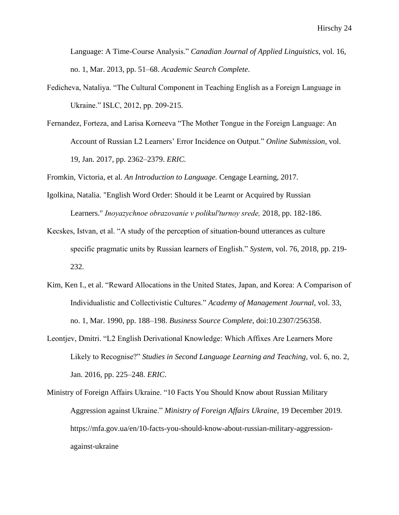Language: A Time-Course Analysis." *Canadian Journal of Applied Linguistics*, vol. 16, no. 1, Mar. 2013, pp. 51–68. *Academic Search Complete*.

- Fedicheva, Nataliya. "The Cultural Component in Teaching English as a Foreign Language in Ukraine." ISLC, 2012, pp. 209-215.
- Fernandez, Forteza, and Larisa Korneeva "The Mother Tongue in the Foreign Language: An Account of Russian L2 Learners' Error Incidence on Output." *Online Submission*, vol. 19, Jan. 2017, pp. 2362–2379. *ERIC.*

Fromkin, Victoria, et al. *An Introduction to Language.* Cengage Learning, 2017.

- Igolkina, Natalia. "English Word Order: Should it be Learnt or Acquired by Russian Learners." *Inoyazychnoe obrazovanie v polikulʹturnoy srede,* 2018, pp. 182-186.
- Kecskes, Istvan, et al. "A study of the perception of situation-bound utterances as culture specific pragmatic units by Russian learners of English." *System*, vol. 76, 2018, pp. 219- 232.
- Kim, Ken I., et al. "Reward Allocations in the United States, Japan, and Korea: A Comparison of Individualistic and Collectivistic Cultures." *Academy of Management Journal*, vol. 33, no. 1, Mar. 1990, pp. 188–198. *Business Source Complete*, doi:10.2307/256358.
- Leontjev, Dmitri. "L2 English Derivational Knowledge: Which Affixes Are Learners More Likely to Recognise?" *Studies in Second Language Learning and Teaching*, vol. 6, no. 2, Jan. 2016, pp. 225–248. *ERIC*.
- Ministry of Foreign Affairs Ukraine. "10 Facts You Should Know about Russian Military Aggression against Ukraine." *Ministry of Foreign Affairs Ukraine,* 19 December 2019*.* https://mfa.gov.ua/en/10-facts-you-should-know-about-russian-military-aggressionagainst-ukraine